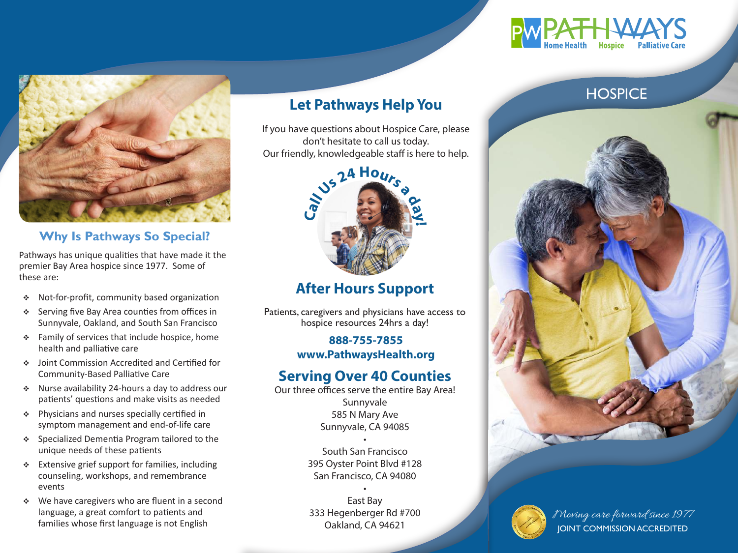

## **Why Is Pathways So Special?**

Pathways has unique qualities that have made it the premier Bay Area hospice since 1977. Some of these are:

- Not-for-profit, community based organization
- $\div$  Serving five Bay Area counties from offices in Sunnyvale, Oakland, and South San Francisco
- $\div$  Family of services that include hospice, home health and palliative care
- Joint Commission Accredited and Certified for Community-Based Palliative Care
- Nurse availability 24-hours a day to address our patients' questions and make visits as needed
- $\div$  Physicians and nurses specially certified in symptom management and end-of-life care
- Specialized Dementia Program tailored to the unique needs of these patients
- $\div$  Extensive grief support for families, including counseling, workshops, and remembrance events
- We have caregivers who are fluent in a second language, a great comfort to patients and families whose first language is not English

# **Let Pathways Help You**

If you have questions about Hospice Care, please don't hesitate to call us today. Our friendly, knowledgeable staff is here to help.



# **After Hours Support**

Patients, caregivers and physicians have access to hospice resources 24hrs a day!

### **888-755-7855 www.PathwaysHealth.org**

# **Serving Over 40 Counties**

Our three offices serve the entire Bay Area! Sunnyvale 585 N Mary Ave Sunnyvale, CA 94085

> • South San Francisco 395 Oyster Point Blvd #128 San Francisco, CA 94080

• East Bay 333 Hegenberger Rd #700 Oakland, CA 94621



# **HOSPICE**